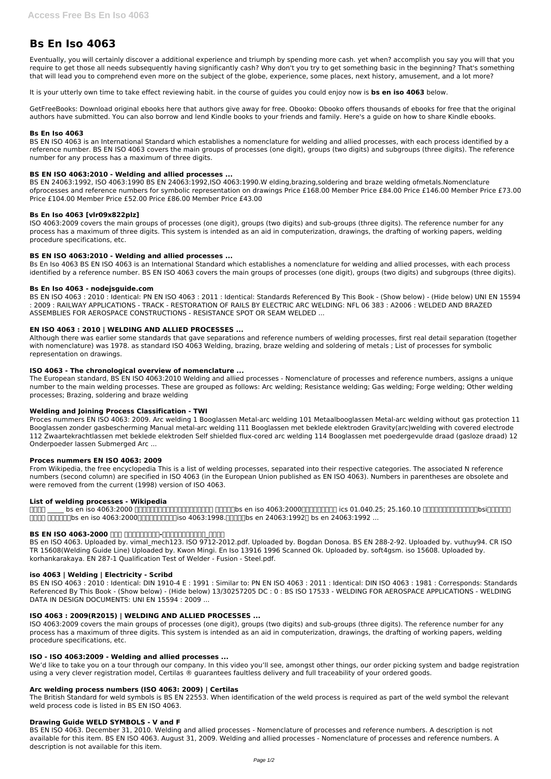# **Bs En Iso 4063**

Eventually, you will certainly discover a additional experience and triumph by spending more cash. yet when? accomplish you say you will that you require to get those all needs subsequently having significantly cash? Why don't you try to get something basic in the beginning? That's something that will lead you to comprehend even more on the subject of the globe, experience, some places, next history, amusement, and a lot more?

It is your utterly own time to take effect reviewing habit. in the course of guides you could enjoy now is **bs en iso 4063** below.

GetFreeBooks: Download original ebooks here that authors give away for free. Obooko: Obooko offers thousands of ebooks for free that the original authors have submitted. You can also borrow and lend Kindle books to your friends and family. Here's a guide on how to share Kindle ebooks.

# **Bs En Iso 4063**

BS EN ISO 4063 is an International Standard which establishes a nomenclature for welding and allied processes, with each process identified by a reference number. BS EN ISO 4063 covers the main groups of processes (one digit), groups (two digits) and subgroups (three digits). The reference number for any process has a maximum of three digits.

# **BS EN ISO 4063:2010 - Welding and allied processes ...**

BS EN 24063:1992, ISO 4063:1990 BS EN 24063:1992,ISO 4063:1990.W elding,brazing,soldering and braze welding ofmetals.Nomenclature ofprocesses and reference numbers for symbolic representation on drawings Price £168.00 Member Price £84.00 Price £146.00 Member Price £73.00 Price £104.00 Member Price £52.00 Price £86.00 Member Price £43.00

# **Bs En Iso 4063 [vlr09x822plz]**

ISO 4063:2009 covers the main groups of processes (one digit), groups (two digits) and sub-groups (three digits). The reference number for any process has a maximum of three digits. This system is intended as an aid in computerization, drawings, the drafting of working papers, welding procedure specifications, etc.

# **BS EN ISO 4063:2010 - Welding and allied processes ...**

Bs En Iso 4063 BS EN ISO 4063 is an International Standard which establishes a nomenclature for welding and allied processes, with each process identified by a reference number. BS EN ISO 4063 covers the main groups of processes (one digit), groups (two digits) and subgroups (three digits).

# **Bs En Iso 4063 - nodejsguide.com**

BS en ISO 4063. Uploaded by. vimal\_mech123. ISO 9712-2012.pdf. Uploaded by. Bogdan Donosa. BS EN 288-2-92. Uploaded by. vuthuy94. CR ISO TR 15608(Welding Guide Line) Uploaded by. Kwon Mingi. En Iso 13916 1996 Scanned Ok. Uploaded by. soft4gsm. iso 15608. Uploaded by. korhankarakaya. EN 287-1 Qualification Test of Welder - Fusion - Steel.pdf.

BS EN ISO 4063 : 2010 : Identical: PN EN ISO 4063 : 2011 : Identical: Standards Referenced By This Book - (Show below) - (Hide below) UNI EN 15594 : 2009 : RAILWAY APPLICATIONS - TRACK - RESTORATION OF RAILS BY ELECTRIC ARC WELDING: NFL 06 383 : A2006 : WELDED AND BRAZED ASSEMBLIES FOR AEROSPACE CONSTRUCTIONS - RESISTANCE SPOT OR SEAM WELDED ...

# **EN ISO 4063 : 2010 | WELDING AND ALLIED PROCESSES ...**

Although there was earlier some standards that gave separations and reference numbers of welding processes, first real detail separation (together with nomenclature) was 1978. as standard ISO 4063 Welding, brazing, braze welding and soldering of metals ; List of processes for symbolic representation on drawings.

We'd like to take you on a tour through our company. In this video you'll see, amongst other things, our order picking system and badge registration using a very clever registration model, Certilas ® guarantees faultless delivery and full traceability of your ordered goods.

### **ISO 4063 - The chronological overview of nomenclature ...**

The European standard, BS EN ISO 4063:2010 Welding and allied processes - Nomenclature of processes and reference numbers, assigns a unique number to the main welding processes. These are grouped as follows: Arc welding; Resistance welding; Gas welding; Forge welding; Other welding processes; Brazing, soldering and braze welding

### **Welding and Joining Process Classification - TWI**

Proces nummers EN ISO 4063: 2009. Arc welding 1 Booglassen Metal-arc welding 101 Metaalbooglassen Metal-arc welding without gas protection 11 Booglassen zonder gasbescherming Manual metal-arc welding 111 Booglassen met beklede elektroden Gravity(arc)welding with covered electrode 112 Zwaartekrachtlassen met beklede elektroden Self shielded flux-cored arc welding 114 Booglassen met poedergevulde draad (gasloze draad) 12 Onderpoeder lassen Submerged Arc ...

### **Proces nummers EN ISO 4063: 2009**

From Wikipedia, the free encyclopedia This is a list of welding processes, separated into their respective categories. The associated N reference numbers (second column) are specified in ISO 4063 (in the European Union published as EN ISO 4063). Numbers in parentheses are obsolete and were removed from the current (1998) version of ISO 4063.

### **List of welding processes - Wikipedia**

 $\Box$ QQQ bs en iso 4063:2000 QQQQQQQQQQQQQQQQQQQ QQQQbs en iso 4063:2000QQQQQQQQQQQ ics 01.040.25; 25.160.10 QQQQQQQQQQQQQQQQQQQ  $\Box$ 

# **BS EN ISO 4063-2000 000 000000000-00000000000\_0000**

### **iso 4063 | Welding | Electricity - Scribd**

BS EN ISO 4063 : 2010 : Identical: DIN 1910-4 E : 1991 : Similar to: PN EN ISO 4063 : 2011 : Identical: DIN ISO 4063 : 1981 : Corresponds: Standards

Referenced By This Book - (Show below) - (Hide below) 13/30257205 DC : 0 : BS ISO 17533 - WELDING FOR AEROSPACE APPLICATIONS - WELDING DATA IN DESIGN DOCUMENTS: UNI EN 15594 : 2009 ...

### **ISO 4063 : 2009(R2015) | WELDING AND ALLIED PROCESSES ...**

ISO 4063:2009 covers the main groups of processes (one digit), groups (two digits) and sub-groups (three digits). The reference number for any process has a maximum of three digits. This system is intended as an aid in computerization, drawings, the drafting of working papers, welding procedure specifications, etc.

# **ISO - ISO 4063:2009 - Welding and allied processes ...**

### **Arc welding process numbers (ISO 4063: 2009) | Certilas**

The British Standard for weld symbols is BS EN 22553. When identification of the weld process is required as part of the weld symbol the relevant weld process code is listed in BS EN ISO 4063.

#### **Drawing Guide WELD SYMBOLS - V and F**

BS EN ISO 4063. December 31, 2010. Welding and allied processes - Nomenclature of processes and reference numbers. A description is not available for this item. BS EN ISO 4063. August 31, 2009. Welding and allied processes - Nomenclature of processes and reference numbers. A description is not available for this item.